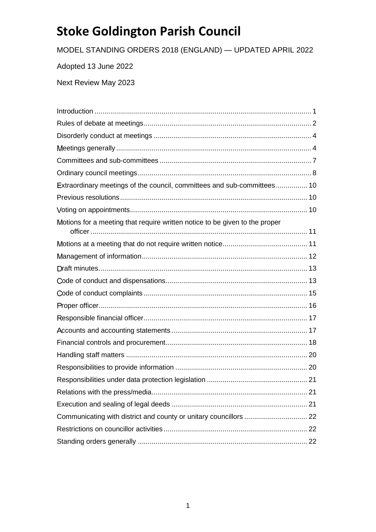MODEL STANDING ORDERS 2018 (ENGLAND) — UPDATED APRIL 2022

Adopted 13 June 2022

Next Review May 2023

| Extraordinary meetings of the council, committees and sub-committees 10     |     |
|-----------------------------------------------------------------------------|-----|
|                                                                             |     |
|                                                                             |     |
| Motions for a meeting that require written notice to be given to the proper |     |
|                                                                             |     |
|                                                                             |     |
|                                                                             |     |
|                                                                             |     |
|                                                                             |     |
|                                                                             |     |
|                                                                             |     |
|                                                                             |     |
|                                                                             |     |
|                                                                             |     |
|                                                                             |     |
|                                                                             |     |
|                                                                             | .21 |
|                                                                             |     |
|                                                                             |     |
|                                                                             |     |
|                                                                             |     |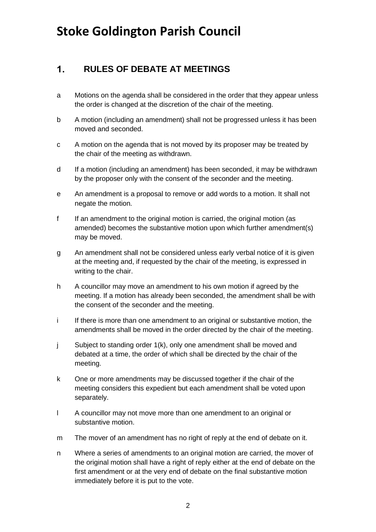#### <span id="page-1-0"></span>**RULES OF DEBATE AT MEETINGS**  $1<sub>1</sub>$

- a Motions on the agenda shall be considered in the order that they appear unless the order is changed at the discretion of the chair of the meeting.
- b A motion (including an amendment) shall not be progressed unless it has been moved and seconded.
- c A motion on the agenda that is not moved by its proposer may be treated by the chair of the meeting as withdrawn.
- d If a motion (including an amendment) has been seconded, it may be withdrawn by the proposer only with the consent of the seconder and the meeting.
- e An amendment is a proposal to remove or add words to a motion. It shall not negate the motion.
- f If an amendment to the original motion is carried, the original motion (as amended) becomes the substantive motion upon which further amendment(s) may be moved.
- g An amendment shall not be considered unless early verbal notice of it is given at the meeting and, if requested by the chair of the meeting, is expressed in writing to the chair.
- h A councillor may move an amendment to his own motion if agreed by the meeting. If a motion has already been seconded, the amendment shall be with the consent of the seconder and the meeting.
- i If there is more than one amendment to an original or substantive motion, the amendments shall be moved in the order directed by the chair of the meeting.
- j Subject to standing order 1(k), only one amendment shall be moved and debated at a time, the order of which shall be directed by the chair of the meeting.
- k One or more amendments may be discussed together if the chair of the meeting considers this expedient but each amendment shall be voted upon separately.
- l A councillor may not move more than one amendment to an original or substantive motion.
- m The mover of an amendment has no right of reply at the end of debate on it.
- n Where a series of amendments to an original motion are carried, the mover of the original motion shall have a right of reply either at the end of debate on the first amendment or at the very end of debate on the final substantive motion immediately before it is put to the vote.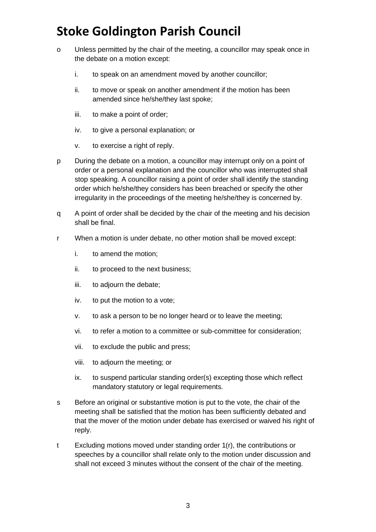- o Unless permitted by the chair of the meeting, a councillor may speak once in the debate on a motion except:
	- i. to speak on an amendment moved by another councillor;
	- ii. to move or speak on another amendment if the motion has been amended since he/she/they last spoke;
	- iii. to make a point of order;
	- iv. to give a personal explanation; or
	- v. to exercise a right of reply.
- p During the debate on a motion, a councillor may interrupt only on a point of order or a personal explanation and the councillor who was interrupted shall stop speaking. A councillor raising a point of order shall identify the standing order which he/she/they considers has been breached or specify the other irregularity in the proceedings of the meeting he/she/they is concerned by.
- q A point of order shall be decided by the chair of the meeting and his decision shall be final.
- r When a motion is under debate, no other motion shall be moved except:
	- i. to amend the motion;
	- ii. to proceed to the next business;
	- iii. to adjourn the debate;
	- iv. to put the motion to a vote;
	- v. to ask a person to be no longer heard or to leave the meeting;
	- vi. to refer a motion to a committee or sub-committee for consideration;
	- vii. to exclude the public and press;
	- viii. to adjourn the meeting; or
	- ix. to suspend particular standing order(s) excepting those which reflect mandatory statutory or legal requirements.
- s Before an original or substantive motion is put to the vote, the chair of the meeting shall be satisfied that the motion has been sufficiently debated and that the mover of the motion under debate has exercised or waived his right of reply.
- t Excluding motions moved under standing order 1(r), the contributions or speeches by a councillor shall relate only to the motion under discussion and shall not exceed 3 minutes without the consent of the chair of the meeting.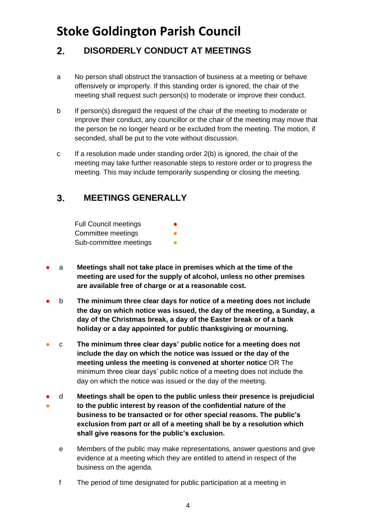### <span id="page-3-0"></span> $2.$ **DISORDERLY CONDUCT AT MEETINGS**

- a No person shall obstruct the transaction of business at a meeting or behave offensively or improperly. If this standing order is ignored, the chair of the meeting shall request such person(s) to moderate or improve their conduct.
- b If person(s) disregard the request of the chair of the meeting to moderate or improve their conduct, any councillor or the chair of the meeting may move that the person be no longer heard or be excluded from the meeting. The motion, if seconded, shall be put to the vote without discussion.
- c If a resolution made under standing order 2(b) is ignored, the chair of the meeting may take further reasonable steps to restore order or to progress the meeting. This may include temporarily suspending or closing the meeting.

### <span id="page-3-1"></span> $3<sub>1</sub>$ **MEETINGS GENERALLY**

| <b>Full Council meetings</b> | $\bullet$ |
|------------------------------|-----------|
| Committee meetings           | o         |
| Sub-committee meetings       | n         |

- a **Meetings shall not take place in premises which at the time of the meeting are used for the supply of alcohol, unless no other premises are available free of charge or at a reasonable cost.**
- b **The minimum three clear days for notice of a meeting does not include the day on which notice was issued, the day of the meeting, a Sunday, a day of the Christmas break, a day of the Easter break or of a bank holiday or a day appointed for public thanksgiving or mourning.**
- c **The minimum three clear days' public notice for a meeting does not include the day on which the notice was issued or the day of the meeting unless the meeting is convened at shorter notice** OR The minimum three clear days' public notice of a meeting does not include the day on which the notice was issued or the day of the meeting.
- ● d **Meetings shall be open to the public unless their presence is prejudicial to the public interest by reason of the confidential nature of the business to be transacted or for other special reasons. The public's exclusion from part or all of a meeting shall be by a resolution which shall give reasons for the public's exclusion.**
	- e Members of the public may make representations, answer questions and give evidence at a meeting which they are entitled to attend in respect of the business on the agenda.
	- f The period of time designated for public participation at a meeting in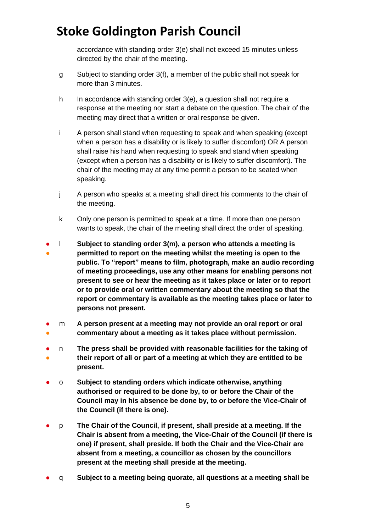accordance with standing order 3(e) shall not exceed 15 minutes unless directed by the chair of the meeting.

- g Subject to standing order 3(f), a member of the public shall not speak for more than 3 minutes.
- h In accordance with standing order 3(e), a question shall not require a response at the meeting nor start a debate on the question. The chair of the meeting may direct that a written or oral response be given.
- i A person shall stand when requesting to speak and when speaking (except when a person has a disability or is likely to suffer discomfort) OR A person shall raise his hand when requesting to speak and stand when speaking (except when a person has a disability or is likely to suffer discomfort). The chair of the meeting may at any time permit a person to be seated when speaking.
- j A person who speaks at a meeting shall direct his comments to the chair of the meeting.
- k Only one person is permitted to speak at a time. If more than one person wants to speak, the chair of the meeting shall direct the order of speaking.
- 。<br>● l **Subject to standing order 3(m), a person who attends a meeting is permitted to report on the meeting whilst the meeting is open to the public. To "report" means to film, photograph, make an audio recording of meeting proceedings, use any other means for enabling persons not present to see or hear the meeting as it takes place or later or to report or to provide oral or written commentary about the meeting so that the report or commentary is available as the meeting takes place or later to persons not present.**
- ● m **A person present at a meeting may not provide an oral report or oral commentary about a meeting as it takes place without permission.**
- ● n **The press shall be provided with reasonable facilities for the taking of their report of all or part of a meeting at which they are entitled to be present.**
- o **Subject to standing orders which indicate otherwise, anything authorised or required to be done by, to or before the Chair of the Council may in his absence be done by, to or before the Vice-Chair of the Council (if there is one).**
- p **The Chair of the Council, if present, shall preside at a meeting. If the Chair is absent from a meeting, the Vice-Chair of the Council (if there is one) if present, shall preside. If both the Chair and the Vice-Chair are absent from a meeting, a councillor as chosen by the councillors present at the meeting shall preside at the meeting.**
- q **Subject to a meeting being quorate, all questions at a meeting shall be**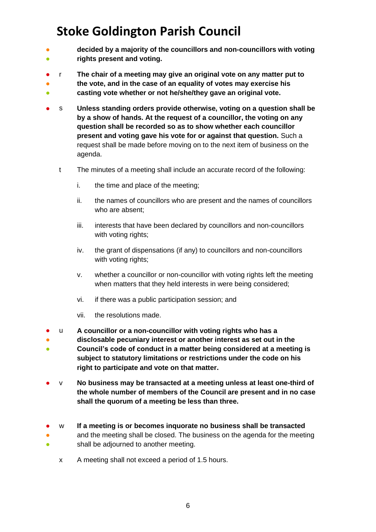- ● **decided by a majority of the councillors and non-councillors with voting rights present and voting.**
- ● r **The chair of a meeting may give an original vote on any matter put to the vote, and in the case of an equality of votes may exercise his**
- **casting vote whether or not he/she/they gave an original vote.**
- s Unless standing orders provide otherwise, voting on a question shall be **by a show of hands. At the request of a councillor, the voting on any question shall be recorded so as to show whether each councillor present and voting gave his vote for or against that question.** Such a request shall be made before moving on to the next item of business on the agenda.
	- t The minutes of a meeting shall include an accurate record of the following:
		- i. the time and place of the meeting;
		- ii. the names of councillors who are present and the names of councillors who are absent;
		- iii. interests that have been declared by councillors and non-councillors with voting rights;
		- iv. the grant of dispensations (if any) to councillors and non-councillors with voting rights;
		- v. whether a councillor or non-councillor with voting rights left the meeting when matters that they held interests in were being considered;
		- vi. if there was a public participation session; and
		- vii. the resolutions made.
- u **A councillor or a non-councillor with voting rights who has a**
- ● **disclosable pecuniary interest or another interest as set out in the Council's code of conduct in a matter being considered at a meeting is subject to statutory limitations or restrictions under the code on his right to participate and vote on that matter.**
- v **No business may be transacted at a meeting unless at least one-third of the whole number of members of the Council are present and in no case shall the quorum of a meeting be less than three.**
- ● ● w **If a meeting is or becomes inquorate no business shall be transacted** and the meeting shall be closed. The business on the agenda for the meeting
	- shall be adjourned to another meeting.
		- x A meeting shall not exceed a period of 1.5 hours.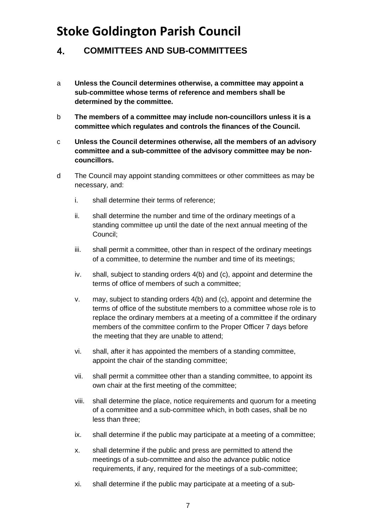#### <span id="page-6-0"></span> $\overline{4}$ . **COMMITTEES AND SUB-COMMITTEES**

- a **Unless the Council determines otherwise, a committee may appoint a sub-committee whose terms of reference and members shall be determined by the committee.**
- b **The members of a committee may include non-councillors unless it is a committee which regulates and controls the finances of the Council.**
- c **Unless the Council determines otherwise, all the members of an advisory committee and a sub-committee of the advisory committee may be noncouncillors.**
- d The Council may appoint standing committees or other committees as may be necessary, and:
	- i. shall determine their terms of reference;
	- ii. shall determine the number and time of the ordinary meetings of a standing committee up until the date of the next annual meeting of the Council;
	- iii. shall permit a committee, other than in respect of the ordinary meetings of a committee, to determine the number and time of its meetings;
	- iv. shall, subject to standing orders 4(b) and (c), appoint and determine the terms of office of members of such a committee;
	- v. may, subject to standing orders 4(b) and (c), appoint and determine the terms of office of the substitute members to a committee whose role is to replace the ordinary members at a meeting of a committee if the ordinary members of the committee confirm to the Proper Officer 7 days before the meeting that they are unable to attend;
	- vi. shall, after it has appointed the members of a standing committee, appoint the chair of the standing committee;
	- vii. shall permit a committee other than a standing committee, to appoint its own chair at the first meeting of the committee;
	- viii. shall determine the place, notice requirements and quorum for a meeting of a committee and a sub-committee which, in both cases, shall be no less than three;
	- ix. shall determine if the public may participate at a meeting of a committee;
	- x. shall determine if the public and press are permitted to attend the meetings of a sub-committee and also the advance public notice requirements, if any, required for the meetings of a sub-committee;
	- xi. shall determine if the public may participate at a meeting of a sub-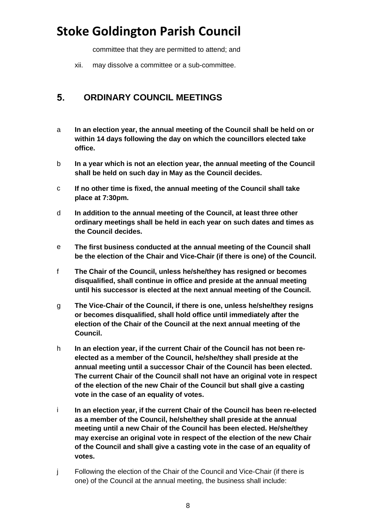committee that they are permitted to attend; and

xii. may dissolve a committee or a sub-committee.

#### <span id="page-7-0"></span> $5<sub>1</sub>$ **ORDINARY COUNCIL MEETINGS**

- a **In an election year, the annual meeting of the Council shall be held on or within 14 days following the day on which the councillors elected take office.**
- b **In a year which is not an election year, the annual meeting of the Council shall be held on such day in May as the Council decides.**
- c **If no other time is fixed, the annual meeting of the Council shall take place at 7:30pm.**
- d **In addition to the annual meeting of the Council, at least three other ordinary meetings shall be held in each year on such dates and times as the Council decides.**
- e **The first business conducted at the annual meeting of the Council shall be the election of the Chair and Vice-Chair (if there is one) of the Council.**
- f **The Chair of the Council, unless he/she/they has resigned or becomes disqualified, shall continue in office and preside at the annual meeting until his successor is elected at the next annual meeting of the Council.**
- g **The Vice-Chair of the Council, if there is one, unless he/she/they resigns or becomes disqualified, shall hold office until immediately after the election of the Chair of the Council at the next annual meeting of the Council.**
- h **In an election year, if the current Chair of the Council has not been reelected as a member of the Council, he/she/they shall preside at the annual meeting until a successor Chair of the Council has been elected. The current Chair of the Council shall not have an original vote in respect of the election of the new Chair of the Council but shall give a casting vote in the case of an equality of votes.**
- i **In an election year, if the current Chair of the Council has been re-elected as a member of the Council, he/she/they shall preside at the annual meeting until a new Chair of the Council has been elected. He/she/they may exercise an original vote in respect of the election of the new Chair of the Council and shall give a casting vote in the case of an equality of votes.**
- j Following the election of the Chair of the Council and Vice-Chair (if there is one) of the Council at the annual meeting, the business shall include: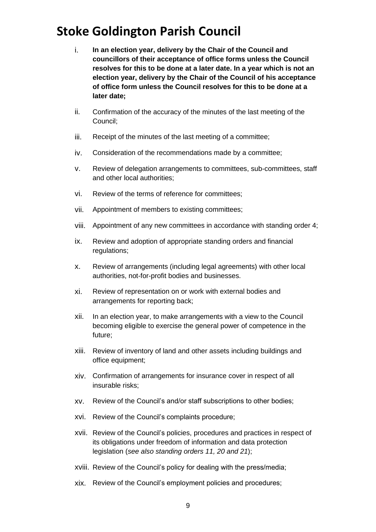- i. **In an election year, delivery by the Chair of the Council and councillors of their acceptance of office forms unless the Council resolves for this to be done at a later date. In a year which is not an election year, delivery by the Chair of the Council of his acceptance of office form unless the Council resolves for this to be done at a later date;**
- ii. Confirmation of the accuracy of the minutes of the last meeting of the Council;
- iii. Receipt of the minutes of the last meeting of a committee;
- iv. Consideration of the recommendations made by a committee;
- v. Review of delegation arrangements to committees, sub-committees, staff and other local authorities;
- vi. Review of the terms of reference for committees;
- vii. Appointment of members to existing committees;
- viii. Appointment of any new committees in accordance with standing order 4;
- ix. Review and adoption of appropriate standing orders and financial regulations;
- x. Review of arrangements (including legal agreements) with other local authorities, not-for-profit bodies and businesses.
- xi. Review of representation on or work with external bodies and arrangements for reporting back;
- xii. In an election year, to make arrangements with a view to the Council becoming eligible to exercise the general power of competence in the future;
- xiii. Review of inventory of land and other assets including buildings and office equipment;
- xiv. Confirmation of arrangements for insurance cover in respect of all insurable risks;
- xv. Review of the Council's and/or staff subscriptions to other bodies;
- xvi. Review of the Council's complaints procedure;
- xvii. Review of the Council's policies, procedures and practices in respect of its obligations under freedom of information and data protection legislation (*see also standing orders 11, 20 and 21*);
- xviii. Review of the Council's policy for dealing with the press/media;
- xix. Review of the Council's employment policies and procedures;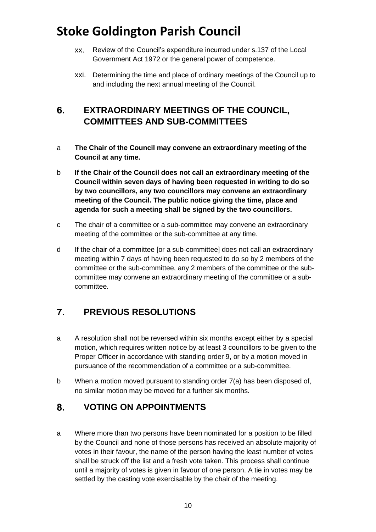- xx. Review of the Council's expenditure incurred under s.137 of the Local Government Act 1972 or the general power of competence.
- xxi. Determining the time and place of ordinary meetings of the Council up to and including the next annual meeting of the Council.

### <span id="page-9-0"></span> $6.$ **EXTRAORDINARY MEETINGS OF THE COUNCIL, COMMITTEES AND SUB-COMMITTEES**

- a **The Chair of the Council may convene an extraordinary meeting of the Council at any time.**
- b **If the Chair of the Council does not call an extraordinary meeting of the Council within seven days of having been requested in writing to do so by two councillors, any two councillors may convene an extraordinary meeting of the Council. The public notice giving the time, place and agenda for such a meeting shall be signed by the two councillors.**
- c The chair of a committee or a sub-committee may convene an extraordinary meeting of the committee or the sub-committee at any time.
- d If the chair of a committee [or a sub-committee] does not call an extraordinary meeting within 7 days of having been requested to do so by 2 members of the committee or the sub-committee, any 2 members of the committee or the subcommittee may convene an extraordinary meeting of the committee or a subcommittee.

### <span id="page-9-1"></span> $\overline{7}$ . **PREVIOUS RESOLUTIONS**

- a A resolution shall not be reversed within six months except either by a special motion, which requires written notice by at least 3 councillors to be given to the Proper Officer in accordance with standing order 9, or by a motion moved in pursuance of the recommendation of a committee or a sub-committee.
- b When a motion moved pursuant to standing order 7(a) has been disposed of, no similar motion may be moved for a further six months.

#### <span id="page-9-2"></span>8. **VOTING ON APPOINTMENTS**

a Where more than two persons have been nominated for a position to be filled by the Council and none of those persons has received an absolute majority of votes in their favour, the name of the person having the least number of votes shall be struck off the list and a fresh vote taken. This process shall continue until a majority of votes is given in favour of one person. A tie in votes may be settled by the casting vote exercisable by the chair of the meeting.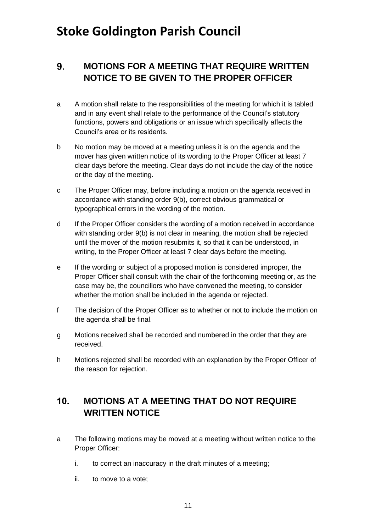### <span id="page-10-0"></span> $9<sub>-</sub>$ **MOTIONS FOR A MEETING THAT REQUIRE WRITTEN NOTICE TO BE GIVEN TO THE PROPER OFFICER**

- a A motion shall relate to the responsibilities of the meeting for which it is tabled and in any event shall relate to the performance of the Council's statutory functions, powers and obligations or an issue which specifically affects the Council's area or its residents.
- b No motion may be moved at a meeting unless it is on the agenda and the mover has given written notice of its wording to the Proper Officer at least 7 clear days before the meeting. Clear days do not include the day of the notice or the day of the meeting.
- c The Proper Officer may, before including a motion on the agenda received in accordance with standing order 9(b), correct obvious grammatical or typographical errors in the wording of the motion.
- d If the Proper Officer considers the wording of a motion received in accordance with standing order 9(b) is not clear in meaning, the motion shall be rejected until the mover of the motion resubmits it, so that it can be understood, in writing, to the Proper Officer at least 7 clear days before the meeting.
- e If the wording or subject of a proposed motion is considered improper, the Proper Officer shall consult with the chair of the forthcoming meeting or, as the case may be, the councillors who have convened the meeting, to consider whether the motion shall be included in the agenda or rejected.
- f The decision of the Proper Officer as to whether or not to include the motion on the agenda shall be final.
- g Motions received shall be recorded and numbered in the order that they are received.
- h Motions rejected shall be recorded with an explanation by the Proper Officer of the reason for rejection.

### <span id="page-10-1"></span> $10.$ **MOTIONS AT A MEETING THAT DO NOT REQUIRE WRITTEN NOTICE**

- a The following motions may be moved at a meeting without written notice to the Proper Officer:
	- i. to correct an inaccuracy in the draft minutes of a meeting;
	- ii. to move to a vote;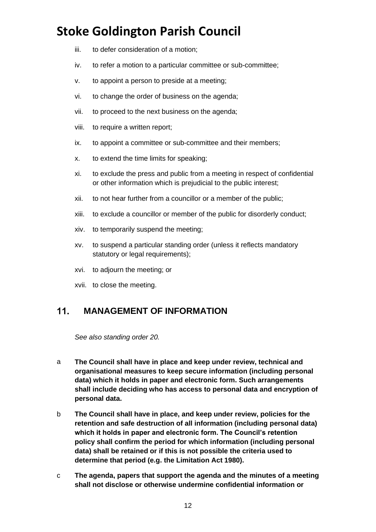- iii. to defer consideration of a motion;
- iv. to refer a motion to a particular committee or sub-committee;
- v. to appoint a person to preside at a meeting;
- vi. to change the order of business on the agenda;
- vii. to proceed to the next business on the agenda;
- viii. to require a written report;
- ix. to appoint a committee or sub-committee and their members;
- x. to extend the time limits for speaking;
- xi. to exclude the press and public from a meeting in respect of confidential or other information which is prejudicial to the public interest;
- xii. to not hear further from a councillor or a member of the public;
- xiii. to exclude a councillor or member of the public for disorderly conduct;
- xiv. to temporarily suspend the meeting;
- xv. to suspend a particular standing order (unless it reflects mandatory statutory or legal requirements);
- xvi. to adjourn the meeting; or
- xvii. to close the meeting.

#### <span id="page-11-0"></span> $11.$ **MANAGEMENT OF INFORMATION**

*See also standing order 20.*

- a **The Council shall have in place and keep under review, technical and organisational measures to keep secure information (including personal data) which it holds in paper and electronic form. Such arrangements shall include deciding who has access to personal data and encryption of personal data.**
- b **The Council shall have in place, and keep under review, policies for the retention and safe destruction of all information (including personal data) which it holds in paper and electronic form. The Council's retention policy shall confirm the period for which information (including personal data) shall be retained or if this is not possible the criteria used to determine that period (e.g. the Limitation Act 1980).**
- c **The agenda, papers that support the agenda and the minutes of a meeting shall not disclose or otherwise undermine confidential information or**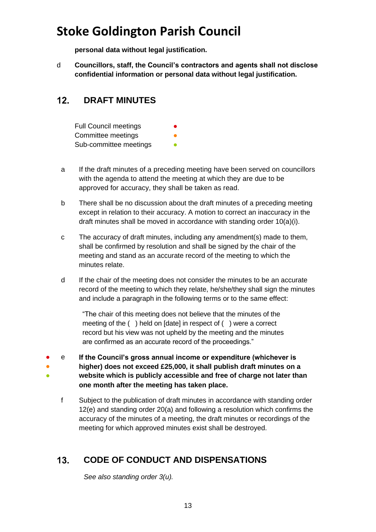**personal data without legal justification.** 

d **Councillors, staff, the Council's contractors and agents shall not disclose confidential information or personal data without legal justification.**

### <span id="page-12-0"></span> $12.$ **DRAFT MINUTES**

Full Council meetings Committee meetings Sub-committee meetings

- a If the draft minutes of a preceding meeting have been served on councillors with the agenda to attend the meeting at which they are due to be approved for accuracy, they shall be taken as read.
- b There shall be no discussion about the draft minutes of a preceding meeting except in relation to their accuracy. A motion to correct an inaccuracy in the draft minutes shall be moved in accordance with standing order 10(a)(i).
- c The accuracy of draft minutes, including any amendment(s) made to them, shall be confirmed by resolution and shall be signed by the chair of the meeting and stand as an accurate record of the meeting to which the minutes relate.
- d If the chair of the meeting does not consider the minutes to be an accurate record of the meeting to which they relate, he/she/they shall sign the minutes and include a paragraph in the following terms or to the same effect:

"The chair of this meeting does not believe that the minutes of the meeting of the ( ) held on [date] in respect of ( ) were a correct record but his view was not upheld by the meeting and the minutes are confirmed as an accurate record of the proceedings."

- ● 。<br>● e **If the Council's gross annual income or expenditure (whichever is higher) does not exceed £25,000, it shall publish draft minutes on a website which is publicly accessible and free of charge not later than one month after the meeting has taken place.**
	- f Subject to the publication of draft minutes in accordance with standing order 12(e) and standing order 20(a) and following a resolution which confirms the accuracy of the minutes of a meeting, the draft minutes or recordings of the meeting for which approved minutes exist shall be destroyed.

### <span id="page-12-1"></span> $13.$ **CODE OF CONDUCT AND DISPENSATIONS**

*See also standing order 3(u).*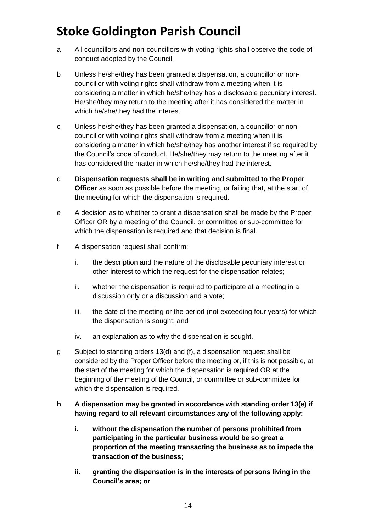- a All councillors and non-councillors with voting rights shall observe the code of conduct adopted by the Council.
- b Unless he/she/they has been granted a dispensation, a councillor or noncouncillor with voting rights shall withdraw from a meeting when it is considering a matter in which he/she/they has a disclosable pecuniary interest. He/she/they may return to the meeting after it has considered the matter in which he/she/they had the interest.
- c Unless he/she/they has been granted a dispensation, a councillor or noncouncillor with voting rights shall withdraw from a meeting when it is considering a matter in which he/she/they has another interest if so required by the Council's code of conduct. He/she/they may return to the meeting after it has considered the matter in which he/she/they had the interest.
- d **Dispensation requests shall be in writing and submitted to the Proper Officer** as soon as possible before the meeting, or failing that, at the start of the meeting for which the dispensation is required.
- e A decision as to whether to grant a dispensation shall be made by the Proper Officer OR by a meeting of the Council, or committee or sub-committee for which the dispensation is required and that decision is final.
- f A dispensation request shall confirm:
	- i. the description and the nature of the disclosable pecuniary interest or other interest to which the request for the dispensation relates;
	- ii. whether the dispensation is required to participate at a meeting in a discussion only or a discussion and a vote;
	- iii. the date of the meeting or the period (not exceeding four years) for which the dispensation is sought; and
	- iv. an explanation as to why the dispensation is sought.
- g Subject to standing orders 13(d) and (f), a dispensation request shall be considered by the Proper Officer before the meeting or, if this is not possible, at the start of the meeting for which the dispensation is required OR at the beginning of the meeting of the Council, or committee or sub-committee for which the dispensation is required.
- **h A dispensation may be granted in accordance with standing order 13(e) if having regard to all relevant circumstances any of the following apply:**
	- **i. without the dispensation the number of persons prohibited from participating in the particular business would be so great a proportion of the meeting transacting the business as to impede the transaction of the business;**
	- **ii. granting the dispensation is in the interests of persons living in the Council's area; or**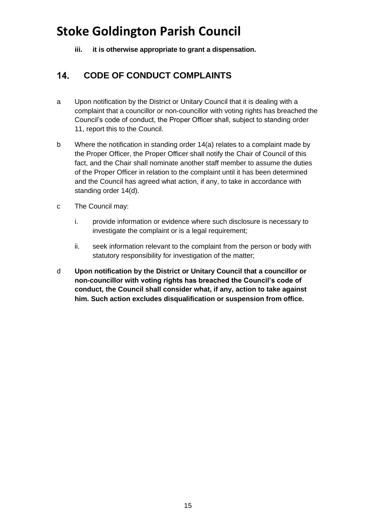**iii. it is otherwise appropriate to grant a dispensation.**

### <span id="page-14-0"></span> $14.$ **CODE OF CONDUCT COMPLAINTS**

- a Upon notification by the District or Unitary Council that it is dealing with a complaint that a councillor or non-councillor with voting rights has breached the Council's code of conduct, the Proper Officer shall, subject to standing order 11, report this to the Council.
- b Where the notification in standing order 14(a) relates to a complaint made by the Proper Officer, the Proper Officer shall notify the Chair of Council of this fact, and the Chair shall nominate another staff member to assume the duties of the Proper Officer in relation to the complaint until it has been determined and the Council has agreed what action, if any, to take in accordance with standing order 14(d).
- c The Council may:
	- i. provide information or evidence where such disclosure is necessary to investigate the complaint or is a legal requirement;
	- ii. seek information relevant to the complaint from the person or body with statutory responsibility for investigation of the matter;
- <span id="page-14-1"></span>d **Upon notification by the District or Unitary Council that a councillor or non-councillor with voting rights has breached the Council's code of conduct, the Council shall consider what, if any, action to take against him. Such action excludes disqualification or suspension from office.**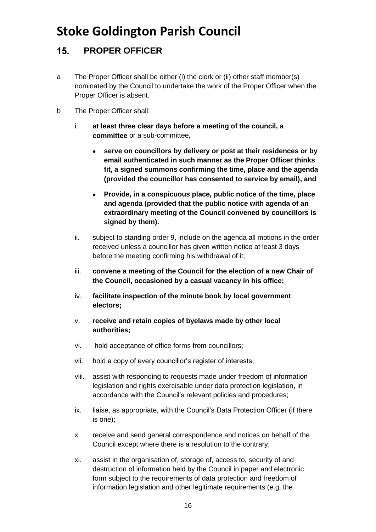### **PROPER OFFICER**   $15.$

- a The Proper Officer shall be either (i) the clerk or (ii) other staff member(s) nominated by the Council to undertake the work of the Proper Officer when the Proper Officer is absent.
- b The Proper Officer shall:
	- i. **at least three clear days before a meeting of the council, a committee** or a sub-committee**,**
		- **serve on councillors by delivery or post at their residences or by email authenticated in such manner as the Proper Officer thinks fit, a signed summons confirming the time, place and the agenda (provided the councillor has consented to service by email), and**
		- **Provide, in a conspicuous place, public notice of the time, place and agenda (provided that the public notice with agenda of an extraordinary meeting of the Council convened by councillors is signed by them).**
	- ii. subject to standing order 9, include on the agenda all motions in the order received unless a councillor has given written notice at least 3 days before the meeting confirming his withdrawal of it;
	- iii. **convene a meeting of the Council for the election of a new Chair of the Council, occasioned by a casual vacancy in his office;**
	- iv. **facilitate inspection of the minute book by local government electors;**
	- v. **receive and retain copies of byelaws made by other local authorities;**
	- vi. hold acceptance of office forms from councillors;
	- vii. hold a copy of every councillor's register of interests;
	- viii. assist with responding to requests made under freedom of information legislation and rights exercisable under data protection legislation, in accordance with the Council's relevant policies and procedures;
	- ix. liaise, as appropriate, with the Council's Data Protection Officer (if there is one);
	- x. receive and send general correspondence and notices on behalf of the Council except where there is a resolution to the contrary;
	- xi. assist in the organisation of, storage of, access to, security of and destruction of information held by the Council in paper and electronic form subject to the requirements of data protection and freedom of information legislation and other legitimate requirements (e.g. the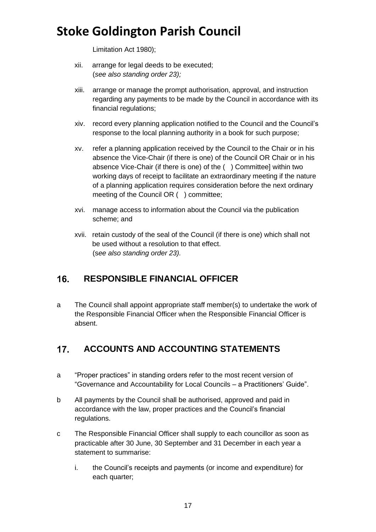Limitation Act 1980);

- xii. arrange for legal deeds to be executed; (*see also standing order 23);*
- xiii. arrange or manage the prompt authorisation, approval, and instruction regarding any payments to be made by the Council in accordance with its financial regulations;
- xiv. record every planning application notified to the Council and the Council's response to the local planning authority in a book for such purpose;
- xv. refer a planning application received by the Council to the Chair or in his absence the Vice-Chair (if there is one) of the Council OR Chair or in his absence Vice-Chair (if there is one) of the ( ) Committee] within two working days of receipt to facilitate an extraordinary meeting if the nature of a planning application requires consideration before the next ordinary meeting of the Council OR ( ) committee;
- xvi. manage access to information about the Council via the publication scheme; and
- xvii. retain custody of the seal of the Council (if there is one) which shall not be used without a resolution to that effect. (s*ee also standing order 23).*

### <span id="page-16-0"></span> $16.$ **RESPONSIBLE FINANCIAL OFFICER**

a The Council shall appoint appropriate staff member(s) to undertake the work of the Responsible Financial Officer when the Responsible Financial Officer is absent.

### <span id="page-16-1"></span> $17<sub>1</sub>$ **ACCOUNTS AND ACCOUNTING STATEMENTS**

- a "Proper practices" in standing orders refer to the most recent version of "Governance and Accountability for Local Councils – a Practitioners' Guide".
- b All payments by the Council shall be authorised, approved and paid in accordance with the law, proper practices and the Council's financial regulations.
- c The Responsible Financial Officer shall supply to each councillor as soon as practicable after 30 June, 30 September and 31 December in each year a statement to summarise:
	- i. the Council's receipts and payments (or income and expenditure) for each quarter;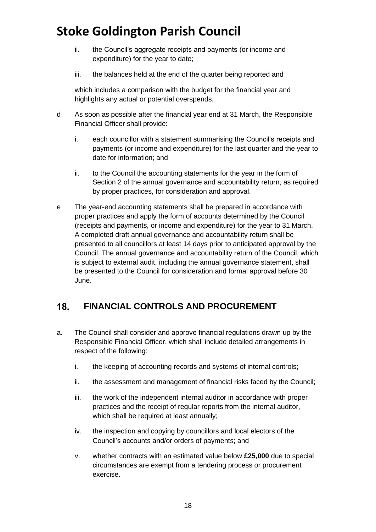- ii. the Council's aggregate receipts and payments (or income and expenditure) for the year to date;
- iii. the balances held at the end of the quarter being reported and

which includes a comparison with the budget for the financial year and highlights any actual or potential overspends.

- d As soon as possible after the financial year end at 31 March, the Responsible Financial Officer shall provide:
	- i. each councillor with a statement summarising the Council's receipts and payments (or income and expenditure) for the last quarter and the year to date for information; and
	- ii. to the Council the accounting statements for the year in the form of Section 2 of the annual governance and accountability return, as required by proper practices, for consideration and approval.
- e The year-end accounting statements shall be prepared in accordance with proper practices and apply the form of accounts determined by the Council (receipts and payments, or income and expenditure) for the year to 31 March. A completed draft annual governance and accountability return shall be presented to all councillors at least 14 days prior to anticipated approval by the Council. The annual governance and accountability return of the Council, which is subject to external audit, including the annual governance statement, shall be presented to the Council for consideration and formal approval before 30 June.

#### <span id="page-17-0"></span>18. **FINANCIAL CONTROLS AND PROCUREMENT**

- a. The Council shall consider and approve financial regulations drawn up by the Responsible Financial Officer, which shall include detailed arrangements in respect of the following:
	- i. the keeping of accounting records and systems of internal controls;
	- ii. the assessment and management of financial risks faced by the Council;
	- iii. the work of the independent internal auditor in accordance with proper practices and the receipt of regular reports from the internal auditor, which shall be required at least annually;
	- iv. the inspection and copying by councillors and local electors of the Council's accounts and/or orders of payments; and
	- v. whether contracts with an estimated value below **£25,000** due to special circumstances are exempt from a tendering process or procurement exercise.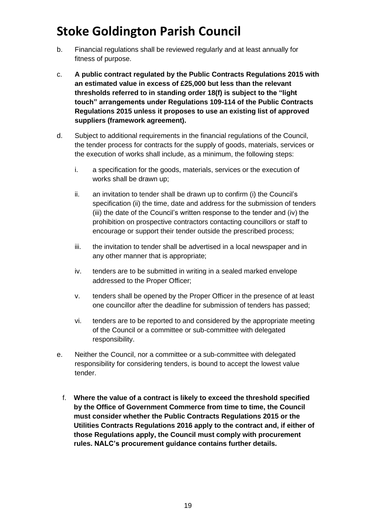- b. Financial regulations shall be reviewed regularly and at least annually for fitness of purpose.
- c. **A public contract regulated by the Public Contracts Regulations 2015 with an estimated value in excess of £25,000 but less than the relevant thresholds referred to in standing order 18(f) is subject to the "light touch" arrangements under Regulations 109-114 of the Public Contracts Regulations 2015 unless it proposes to use an existing list of approved suppliers (framework agreement).**
- d. Subject to additional requirements in the financial regulations of the Council, the tender process for contracts for the supply of goods, materials, services or the execution of works shall include, as a minimum, the following steps:
	- i. a specification for the goods, materials, services or the execution of works shall be drawn up;
	- ii. an invitation to tender shall be drawn up to confirm (i) the Council's specification (ii) the time, date and address for the submission of tenders (iii) the date of the Council's written response to the tender and (iv) the prohibition on prospective contractors contacting councillors or staff to encourage or support their tender outside the prescribed process;
	- iii. the invitation to tender shall be advertised in a local newspaper and in any other manner that is appropriate;
	- iv. tenders are to be submitted in writing in a sealed marked envelope addressed to the Proper Officer;
	- v. tenders shall be opened by the Proper Officer in the presence of at least one councillor after the deadline for submission of tenders has passed;
	- vi. tenders are to be reported to and considered by the appropriate meeting of the Council or a committee or sub-committee with delegated responsibility.
- e. Neither the Council, nor a committee or a sub-committee with delegated responsibility for considering tenders, is bound to accept the lowest value tender.
	- f. **Where the value of a contract is likely to exceed the threshold specified by the Office of Government Commerce from time to time, the Council must consider whether the Public Contracts Regulations 2015 or the Utilities Contracts Regulations 2016 apply to the contract and, if either of those Regulations apply, the Council must comply with procurement rules. NALC's procurement guidance contains further details.**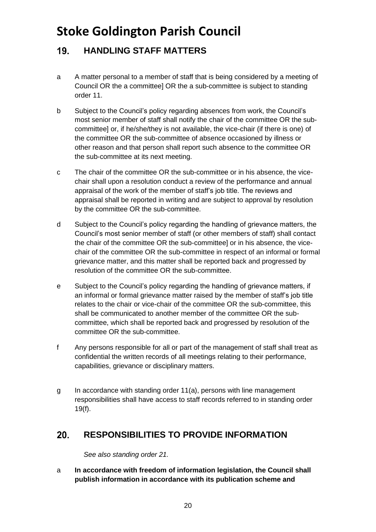### <span id="page-19-0"></span>19. **HANDLING STAFF MATTERS**

- a A matter personal to a member of staff that is being considered by a meeting of Council OR the a committee] OR the a sub-committee is subject to standing order 11.
- b Subject to the Council's policy regarding absences from work, the Council's most senior member of staff shall notify the chair of the committee OR the subcommittee] or, if he/she/they is not available, the vice-chair (if there is one) of the committee OR the sub-committee of absence occasioned by illness or other reason and that person shall report such absence to the committee OR the sub-committee at its next meeting.
- c The chair of the committee OR the sub-committee or in his absence, the vicechair shall upon a resolution conduct a review of the performance and annual appraisal of the work of the member of staff's job title. The reviews and appraisal shall be reported in writing and are subject to approval by resolution by the committee OR the sub-committee.
- d Subject to the Council's policy regarding the handling of grievance matters, the Council's most senior member of staff (or other members of staff) shall contact the chair of the committee OR the sub-committee] or in his absence, the vicechair of the committee OR the sub-committee in respect of an informal or formal grievance matter, and this matter shall be reported back and progressed by resolution of the committee OR the sub-committee.
- e Subject to the Council's policy regarding the handling of grievance matters, if an informal or formal grievance matter raised by the member of staff's job title relates to the chair or vice-chair of the committee OR the sub-committee, this shall be communicated to another member of the committee OR the subcommittee, which shall be reported back and progressed by resolution of the committee OR the sub-committee.
- f Any persons responsible for all or part of the management of staff shall treat as confidential the written records of all meetings relating to their performance, capabilities, grievance or disciplinary matters.
- g In accordance with standing order 11(a), persons with line management responsibilities shall have access to staff records referred to in standing order 19(f).

#### <span id="page-19-1"></span> $20.$ **RESPONSIBILITIES TO PROVIDE INFORMATION**

*See also standing order 21.*

a **In accordance with freedom of information legislation, the Council shall publish information in accordance with its publication scheme and**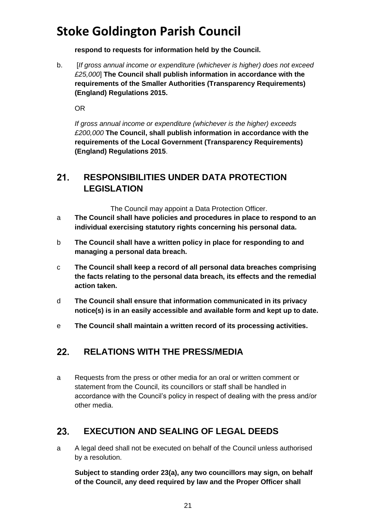**respond to requests for information held by the Council.**

b. [*If gross annual income or expenditure (whichever is higher) does not exceed £25,000*] **The Council shall publish information in accordance with the requirements of the Smaller Authorities (Transparency Requirements) (England) Regulations 2015.**

OR

*If gross annual income or expenditure (whichever is the higher) exceeds £200,000* **The Council, shall publish information in accordance with the requirements of the Local Government (Transparency Requirements) (England) Regulations 2015**.

### <span id="page-20-0"></span> $21.$ **RESPONSIBILITIES UNDER DATA PROTECTION LEGISLATION**

The Council may appoint a Data Protection Officer.

- a **The Council shall have policies and procedures in place to respond to an individual exercising statutory rights concerning his personal data.**
- b **The Council shall have a written policy in place for responding to and managing a personal data breach.**
- c **The Council shall keep a record of all personal data breaches comprising the facts relating to the personal data breach, its effects and the remedial action taken.**
- d **The Council shall ensure that information communicated in its privacy notice(s) is in an easily accessible and available form and kept up to date.**
- e **The Council shall maintain a written record of its processing activities.**

#### <span id="page-20-1"></span> $22.$ **RELATIONS WITH THE PRESS/MEDIA**

a Requests from the press or other media for an oral or written comment or statement from the Council, its councillors or staff shall be handled in accordance with the Council's policy in respect of dealing with the press and/or other media.

#### <span id="page-20-2"></span>**EXECUTION AND SEALING OF LEGAL DEEDS**   $23.$

a A legal deed shall not be executed on behalf of the Council unless authorised by a resolution.

**Subject to standing order 23(a), any two councillors may sign, on behalf of the Council, any deed required by law and the Proper Officer shall**